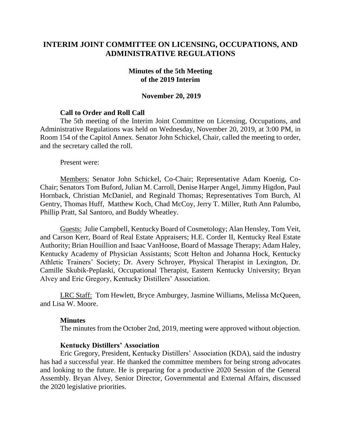# **INTERIM JOINT COMMITTEE ON LICENSING, OCCUPATIONS, AND ADMINISTRATIVE REGULATIONS**

### **Minutes of the 5th Meeting of the 2019 Interim**

### **November 20, 2019**

### **Call to Order and Roll Call**

The 5th meeting of the Interim Joint Committee on Licensing, Occupations, and Administrative Regulations was held on Wednesday, November 20, 2019, at 3:00 PM, in Room 154 of the Capitol Annex. Senator John Schickel, Chair, called the meeting to order, and the secretary called the roll.

Present were:

Members: Senator John Schickel, Co-Chair; Representative Adam Koenig, Co-Chair; Senators Tom Buford, Julian M. Carroll, Denise Harper Angel, Jimmy Higdon, Paul Hornback, Christian McDaniel, and Reginald Thomas; Representatives Tom Burch, Al Gentry, Thomas Huff, Matthew Koch, Chad McCoy, Jerry T. Miller, Ruth Ann Palumbo, Phillip Pratt, Sal Santoro, and Buddy Wheatley.

Guests: Julie Campbell, Kentucky Board of Cosmetology; Alan Hensley, Tom Veit, and Carson Kerr, Board of Real Estate Appraisers; H.E. Corder II, Kentucky Real Estate Authority; Brian Houillion and Isaac VanHoose, Board of Massage Therapy; Adam Haley, Kentucky Academy of Physician Assistants; Scott Helton and Johanna Hock, Kentucky Athletic Trainers' Society; Dr. Avery Schroyer, Physical Therapist in Lexington, Dr. Camille Skubik-Peplaski, Occupational Therapist, Eastern Kentucky University; Bryan Alvey and Eric Gregory, Kentucky Distillers' Association.

LRC Staff: Tom Hewlett, Bryce Amburgey, Jasmine Williams, Melissa McQueen, and Lisa W. Moore.

#### **Minutes**

The minutes from the October 2nd, 2019, meeting were approved without objection.

#### **Kentucky Distillers' Association**

Eric Gregory, President, Kentucky Distillers' Association (KDA), said the industry has had a successful year. He thanked the committee members for being strong advocates and looking to the future. He is preparing for a productive 2020 Session of the General Assembly. Bryan Alvey, Senior Director, Governmental and External Affairs, discussed the 2020 legislative priorities.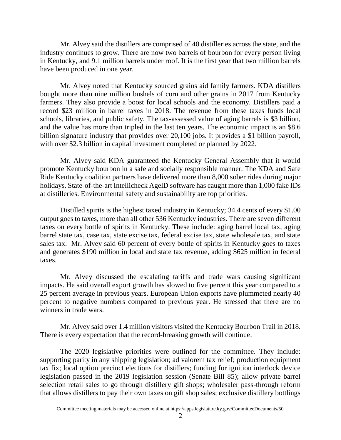Mr. Alvey said the distillers are comprised of 40 distilleries across the state, and the industry continues to grow. There are now two barrels of bourbon for every person living in Kentucky, and 9.1 million barrels under roof. It is the first year that two million barrels have been produced in one year.

Mr. Alvey noted that Kentucky sourced grains aid family farmers. KDA distillers bought more than nine million bushels of corn and other grains in 2017 from Kentucky farmers. They also provide a boost for local schools and the economy. Distillers paid a record \$23 million in barrel taxes in 2018. The revenue from these taxes funds local schools, libraries, and public safety. The tax-assessed value of aging barrels is \$3 billion, and the value has more than tripled in the last ten years. The economic impact is an \$8.6 billion signature industry that provides over 20,100 jobs. It provides a \$1 billion payroll, with over \$2.3 billion in capital investment completed or planned by 2022.

Mr. Alvey said KDA guaranteed the Kentucky General Assembly that it would promote Kentucky bourbon in a safe and socially responsible manner. The KDA and Safe Ride Kentucky coalition partners have delivered more than 8,000 sober rides during major holidays. State-of-the-art Intellicheck AgelD software has caught more than 1,000 fake IDs at distilleries. Environmental safety and sustainability are top priorities.

Distilled spirits is the highest taxed industry in Kentucky; 34.4 cents of every \$1.00 output goes to taxes, more than all other 536 Kentucky industries. There are seven different taxes on every bottle of spirits in Kentucky. These include: aging barrel local tax, aging barrel state tax, case tax, state excise tax, federal excise tax, state wholesale tax, and state sales tax. Mr. Alvey said 60 percent of every bottle of spirits in Kentucky goes to taxes and generates \$190 million in local and state tax revenue, adding \$625 million in federal taxes.

Mr. Alvey discussed the escalating tariffs and trade wars causing significant impacts. He said overall export growth has slowed to five percent this year compared to a 25 percent average in previous years. European Union exports have plummeted nearly 40 percent to negative numbers compared to previous year. He stressed that there are no winners in trade wars.

Mr. Alvey said over 1.4 million visitors visited the Kentucky Bourbon Trail in 2018. There is every expectation that the record-breaking growth will continue.

The 2020 legislative priorities were outlined for the committee. They include: supporting parity in any shipping legislation; ad valorem tax relief; production equipment tax fix; local option precinct elections for distillers; funding for ignition interlock device legislation passed in the 2019 legislation session (Senate Bill 85); allow private barrel selection retail sales to go through distillery gift shops; wholesaler pass-through reform that allows distillers to pay their own taxes on gift shop sales; exclusive distillery bottlings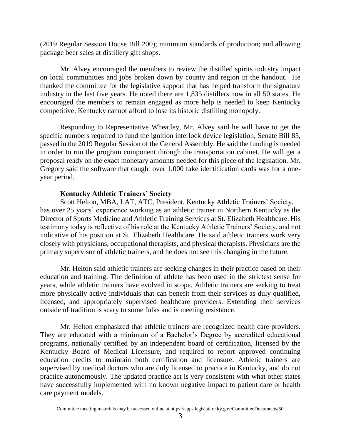(2019 Regular Session House Bill 200); minimum standards of production; and allowing package beer sales at distillery gift shops.

Mr. Alvey encouraged the members to review the distilled spirits industry impact on local communities and jobs broken down by county and region in the handout. He thanked the committee for the legislative support that has helped transform the signature industry in the last five years. He noted there are 1,835 distillers now in all 50 states. He encouraged the members to remain engaged as more help is needed to keep Kentucky competitive. Kentucky cannot afford to lose its historic distilling monopoly.

Responding to Representative Wheatley, Mr. Alvey said he will have to get the specific numbers required to fund the ignition interlock device legislation, Senate Bill 85, passed in the 2019 Regular Session of the General Assembly. He said the funding is needed in order to run the program component through the transportation cabinet. He will get a proposal ready on the exact monetary amounts needed for this piece of the legislation. Mr. Gregory said the software that caught over 1,000 fake identification cards was for a oneyear period.

## **Kentucky Athletic Trainers' Society**

Scott Helton, MBA, LAT, ATC, President, Kentucky Athletic Trainers' Society, has over 25 years' experience working as an athletic trainer in Northern Kentucky as the Director of Sports Medicine and Athletic Training Services at St. Elizabeth Healthcare. His testimony today is reflective of his role at the Kentucky Athletic Trainers' Society, and not indicative of his position at St. Elizabeth Healthcare. He said athletic trainers work very closely with physicians, occupational therapists, and physical therapists. Physicians are the primary supervisor of athletic trainers, and he does not see this changing in the future.

Mr. Helton said athletic trainers are seeking changes in their practice based on their education and training. The definition of athlete has been used in the strictest sense for years, while athletic trainers have evolved in scope. Athletic trainers are seeking to treat more physically active individuals that can benefit from their services as duly qualified, licensed, and appropriately supervised healthcare providers. Extending their services outside of tradition is scary to some folks and is meeting resistance.

Mr. Helton emphasized that athletic trainers are recognized health care providers. They are educated with a minimum of a Bachelor's Degree by accredited educational programs, nationally certified by an independent board of certification, licensed by the Kentucky Board of Medical Licensure, and required to report approved continuing education credits to maintain both certification and licensure. Athletic trainers are supervised by medical doctors who are duly licensed to practice in Kentucky, and do not practice autonomously. The updated practice act is very consistent with what other states have successfully implemented with no known negative impact to patient care or health care payment models.

Committee meeting materials may be accessed online at https://apps.legislature.ky.gov/CommitteeDocuments/50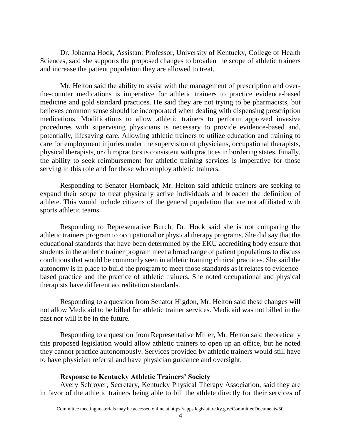Dr. Johanna Hock, Assistant Professor, University of Kentucky, College of Health Sciences, said she supports the proposed changes to broaden the scope of athletic trainers and increase the patient population they are allowed to treat.

Mr. Helton said the ability to assist with the management of prescription and overthe-counter medications is imperative for athletic trainers to practice evidence-based medicine and gold standard practices. He said they are not trying to be pharmacists, but believes common sense should be incorporated when dealing with dispensing prescription medications. Modifications to allow athletic trainers to perform approved invasive procedures with supervising physicians is necessary to provide evidence-based and, potentially, lifesaving care. Allowing athletic trainers to utilize education and training to care for employment injuries under the supervision of physicians, occupational therapists, physical therapists, or chiropractors is consistent with practices in bordering states. Finally, the ability to seek reimbursement for athletic training services is imperative for those serving in this role and for those who employ athletic trainers.

Responding to Senator Hornback, Mr. Helton said athletic trainers are seeking to expand their scope to treat physically active individuals and broaden the definition of athlete. This would include citizens of the general population that are not affiliated with sports athletic teams.

Responding to Representative Burch, Dr. Hock said she is not comparing the athletic trainers program to occupational or physical therapy programs. She did say that the educational standards that have been determined by the EKU accrediting body ensure that students in the athletic trainer program meet a broad range of patient populations to discuss conditions that would be commonly seen in athletic training clinical practices. She said the autonomy is in place to build the program to meet those standards as it relates to evidencebased practice and the practice of athletic trainers. She noted occupational and physical therapists have different accreditation standards.

Responding to a question from Senator Higdon, Mr. Helton said these changes will not allow Medicaid to be billed for athletic trainer services. Medicaid was not billed in the past nor will it be in the future.

Responding to a question from Representative Miller, Mr. Helton said theoretically this proposed legislation would allow athletic trainers to open up an office, but he noted they cannot practice autonomously. Services provided by athletic trainers would still have to have physician referral and have physician guidance and oversight.

# **Response to Kentucky Athletic Trainers' Society**

Avery Schroyer, Secretary, Kentucky Physical Therapy Association, said they are in favor of the athletic trainers being able to bill the athlete directly for their services of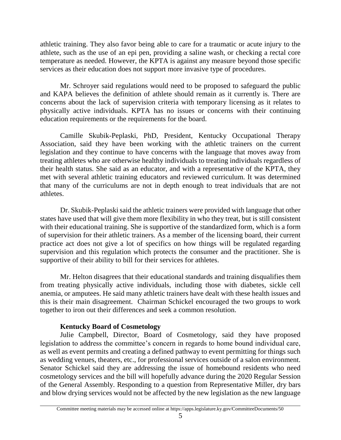athletic training. They also favor being able to care for a traumatic or acute injury to the athlete, such as the use of an epi pen, providing a saline wash, or checking a rectal core temperature as needed. However, the KPTA is against any measure beyond those specific services as their education does not support more invasive type of procedures.

Mr. Schroyer said regulations would need to be proposed to safeguard the public and KAPA believes the definition of athlete should remain as it currently is. There are concerns about the lack of supervision criteria with temporary licensing as it relates to physically active individuals. KPTA has no issues or concerns with their continuing education requirements or the requirements for the board.

Camille Skubik-Peplaski, PhD, President, Kentucky Occupational Therapy Association, said they have been working with the athletic trainers on the current legislation and they continue to have concerns with the language that moves away from treating athletes who are otherwise healthy individuals to treating individuals regardless of their health status. She said as an educator, and with a representative of the KPTA, they met with several athletic training educators and reviewed curriculum. It was determined that many of the curriculums are not in depth enough to treat individuals that are not athletes.

Dr. Skubik-Peplaski said the athletic trainers were provided with language that other states have used that will give them more flexibility in who they treat, but is still consistent with their educational training. She is supportive of the standardized form, which is a form of supervision for their athletic trainers. As a member of the licensing board, their current practice act does not give a lot of specifics on how things will be regulated regarding supervision and this regulation which protects the consumer and the practitioner. She is supportive of their ability to bill for their services for athletes.

Mr. Helton disagrees that their educational standards and training disqualifies them from treating physically active individuals, including those with diabetes, sickle cell anemia, or amputees. He said many athletic trainers have dealt with these health issues and this is their main disagreement. Chairman Schickel encouraged the two groups to work together to iron out their differences and seek a common resolution.

## **Kentucky Board of Cosmetology**

Julie Campbell, Director, Board of Cosmetology, said they have proposed legislation to address the committee's concern in regards to home bound individual care, as well as event permits and creating a defined pathway to event permitting for things such as wedding venues, theaters, etc., for professional services outside of a salon environment. Senator Schickel said they are addressing the issue of homebound residents who need cosmetology services and the bill will hopefully advance during the 2020 Regular Session of the General Assembly. Responding to a question from Representative Miller, dry bars and blow drying services would not be affected by the new legislation as the new language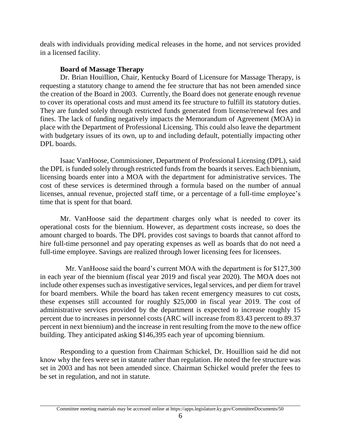deals with individuals providing medical releases in the home, and not services provided in a licensed facility.

# **Board of Massage Therapy**

Dr. Brian Houillion, Chair, Kentucky Board of Licensure for Massage Therapy, is requesting a statutory change to amend the fee structure that has not been amended since the creation of the Board in 2003. Currently, the Board does not generate enough revenue to cover its operational costs and must amend its fee structure to fulfill its statutory duties. They are funded solely through restricted funds generated from license/renewal fees and fines. The lack of funding negatively impacts the Memorandum of Agreement (MOA) in place with the Department of Professional Licensing. This could also leave the department with budgetary issues of its own, up to and including default, potentially impacting other DPL boards.

Isaac VanHoose, Commissioner, Department of Professional Licensing (DPL), said the DPL is funded solely through restricted funds from the boards it serves. Each biennium, licensing boards enter into a MOA with the department for administrative services. The cost of these services is determined through a formula based on the number of annual licenses, annual revenue, projected staff time, or a percentage of a full-time employee's time that is spent for that board.

Mr. VanHoose said the department charges only what is needed to cover its operational costs for the biennium. However, as department costs increase, so does the amount charged to boards. The DPL provides cost savings to boards that cannot afford to hire full-time personnel and pay operating expenses as well as boards that do not need a full-time employee. Savings are realized through lower licensing fees for licensees.

 Mr. VanHoose said the board's current MOA with the department is for \$127,300 in each year of the biennium (fiscal year 2019 and fiscal year 2020). The MOA does not include other expenses such as investigative services, legal services, and per diem for travel for board members. While the board has taken recent emergency measures to cut costs, these expenses still accounted for roughly \$25,000 in fiscal year 2019. The cost of administrative services provided by the department is expected to increase roughly 15 percent due to increases in personnel costs (ARC will increase from 83.43 percent to 89.37 percent in next biennium) and the increase in rent resulting from the move to the new office building. They anticipated asking \$146,395 each year of upcoming biennium.

Responding to a question from Chairman Schickel, Dr. Houillion said he did not know why the fees were set in statute rather than regulation. He noted the fee structure was set in 2003 and has not been amended since. Chairman Schickel would prefer the fees to be set in regulation, and not in statute.

Committee meeting materials may be accessed online at https://apps.legislature.ky.gov/CommitteeDocuments/50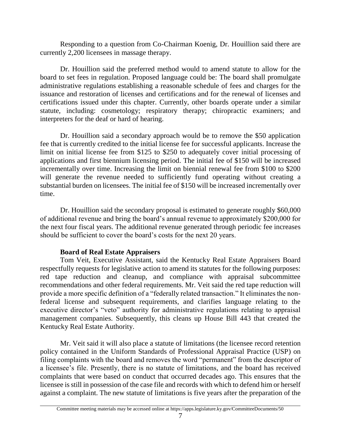Responding to a question from Co-Chairman Koenig, Dr. Houillion said there are currently 2,200 licensees in massage therapy.

 Dr. Houillion said the preferred method would to amend statute to allow for the board to set fees in regulation. Proposed language could be: The board shall promulgate administrative regulations establishing a reasonable schedule of fees and charges for the issuance and restoration of licenses and certifications and for the renewal of licenses and certifications issued under this chapter. Currently, other boards operate under a similar statute, including: cosmetology; respiratory therapy; chiropractic examiners; and interpreters for the deaf or hard of hearing.

Dr. Houillion said a secondary approach would be to remove the \$50 application fee that is currently credited to the initial license fee for successful applicants. Increase the limit on initial license fee from \$125 to \$250 to adequately cover initial processing of applications and first biennium licensing period. The initial fee of \$150 will be increased incrementally over time. Increasing the limit on biennial renewal fee from \$100 to \$200 will generate the revenue needed to sufficiently fund operating without creating a substantial burden on licensees. The initial fee of \$150 will be increased incrementally over time.

Dr. Houillion said the secondary proposal is estimated to generate roughly \$60,000 of additional revenue and bring the board's annual revenue to approximately \$200,000 for the next four fiscal years. The additional revenue generated through periodic fee increases should be sufficient to cover the board's costs for the next 20 years.

## **Board of Real Estate Appraisers**

Tom Veit, Executive Assistant, said the Kentucky Real Estate Appraisers Board respectfully requests for legislative action to amend its statutes for the following purposes: red tape reduction and cleanup, and compliance with appraisal subcommittee recommendations and other federal requirements. Mr. Veit said the red tape reduction will provide a more specific definition of a "federally related transaction." It eliminates the nonfederal license and subsequent requirements, and clarifies language relating to the executive director's "veto" authority for administrative regulations relating to appraisal management companies. Subsequently, this cleans up House Bill 443 that created the Kentucky Real Estate Authority.

Mr. Veit said it will also place a statute of limitations (the licensee record retention policy contained in the Uniform Standards of Professional Appraisal Practice (USP) on filing complaints with the board and removes the word "permanent" from the descriptor of a licensee's file. Presently, there is no statute of limitations, and the board has received complaints that were based on conduct that occurred decades ago. This ensures that the licensee is still in possession of the case file and records with which to defend him or herself against a complaint. The new statute of limitations is five years after the preparation of the

Committee meeting materials may be accessed online at https://apps.legislature.ky.gov/CommitteeDocuments/50